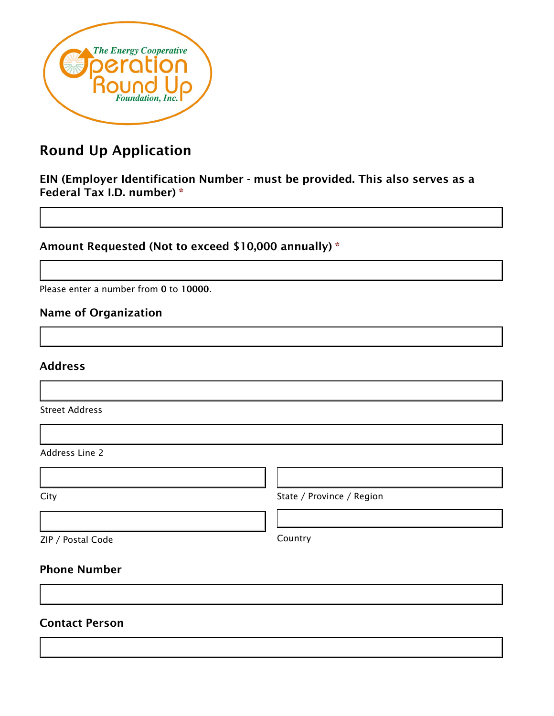

# Round Up Application

EIN (Employer Identification Number - must be provided. This also serves as a Federal Tax I.D. number) \*

Amount Requested (Not to exceed \$10,000 annually) \*

Please enter a number from 0 to 10000.

# Name of Organization

### Address

Street Address

Address Line 2

City **State / Province / Region** 

ZIP / Postal Code Country

### Phone Number

### Contact Person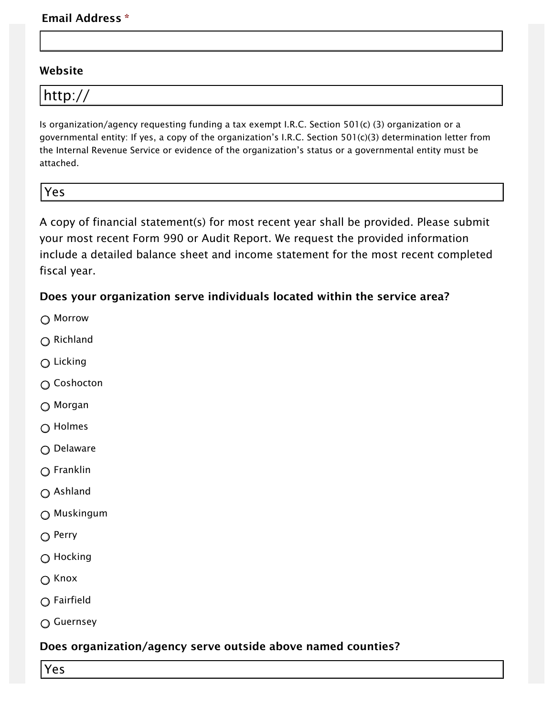### Email Address \*

### Website

| http: |
|-------|
|-------|

Is organization/agency requesting funding a tax exempt I.R.C. Section 501(c) (3) organization or a governmental entity: If yes, a copy of the organization's I.R.C. Section 501(c)(3) determination letter from the Internal Revenue Service or evidence of the organization's status or a governmental entity must be attached.

Yes Yes

A copy of financial statement(s) for most recent year shall be provided. Please submit your most recent Form 990 or Audit Report. We request the provided information include a detailed balance sheet and income statement for the most recent completed fiscal year.

### Does your organization serve individuals located within the service area?

- Morrow
- $\bigcap$  Richland
- Licking
- Coshocton
- Morgan
- Holmes
- Delaware
- Franklin
- Ashland
- Muskingum
- $\bigcirc$  Perry
- Hocking
- $\bigcirc$  Knox
- Fairfield
- Guernsey

# Does organization/agency serve outside above named counties?

Yes Yes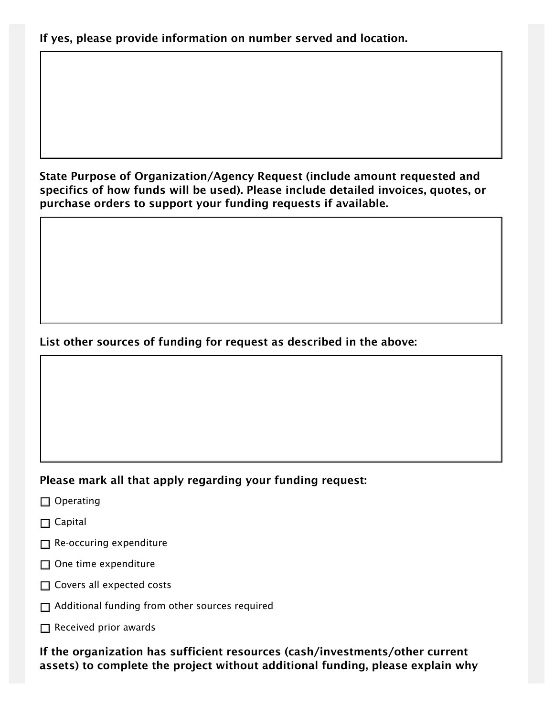State Purpose of Organization/Agency Request (include amount requested and specifics of how funds will be used). Please include detailed invoices, quotes, or purchase orders to support your funding requests if available.

# List other sources of funding for request as described in the above:

# Please mark all that apply regarding your funding request:

- □ Operating
- $\Box$  Capital
- $\Box$  Re-occuring expenditure
- $\Box$  One time expenditure
- □ Covers all expected costs
- □ Additional funding from other sources required
- $\Box$  Received prior awards

If the organization has sufficient resources (cash/investments/other current assets) to complete the project without additional funding, please explain why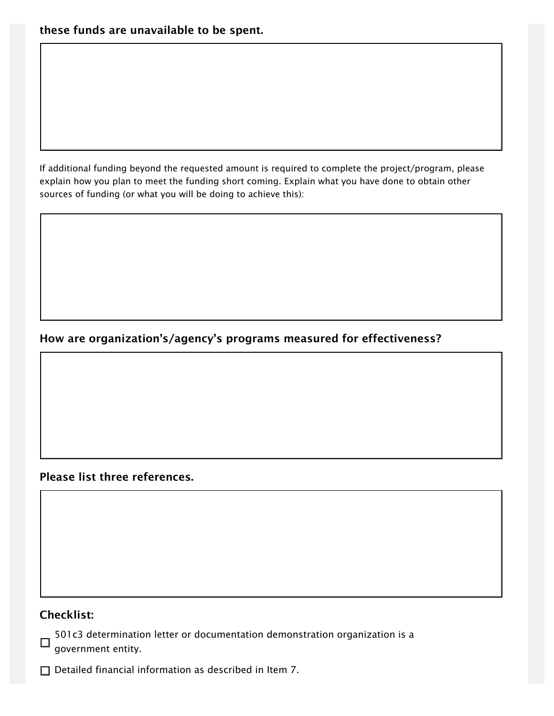If additional funding beyond the requested amount is required to complete the project/program, please explain how you plan to meet the funding short coming. Explain what you have done to obtain other sources of funding (or what you will be doing to achieve this):

# How are organization's/agency's programs measured for effectiveness?

### Please list three references.

### Checklist:

501c3 determination letter or documentation demonstration organization is a  $\Box$ government entity.

 $\Box$  Detailed financial information as described in Item 7.